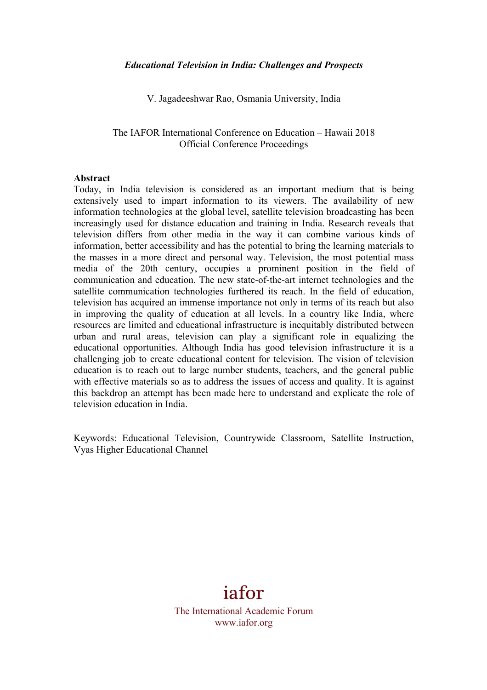V. Jagadeeshwar Rao, Osmania University, India

#### The IAFOR International Conference on Education – Hawaii 2018 Official Conference Proceedings

#### **Abstract**

Today, in India television is considered as an important medium that is being extensively used to impart information to its viewers. The availability of new information technologies at the global level, satellite television broadcasting has been increasingly used for distance education and training in India. Research reveals that television differs from other media in the way it can combine various kinds of information, better accessibility and has the potential to bring the learning materials to the masses in a more direct and personal way. Television, the most potential mass media of the 20th century, occupies a prominent position in the field of communication and education. The new state-of-the-art internet technologies and the satellite communication technologies furthered its reach. In the field of education, television has acquired an immense importance not only in terms of its reach but also in improving the quality of education at all levels. In a country like India, where resources are limited and educational infrastructure is inequitably distributed between urban and rural areas, television can play a significant role in equalizing the educational opportunities. Although India has good television infrastructure it is a challenging job to create educational content for television. The vision of television education is to reach out to large number students, teachers, and the general public with effective materials so as to address the issues of access and quality. It is against this backdrop an attempt has been made here to understand and explicate the role of television education in India.

Keywords: Educational Television, Countrywide Classroom, Satellite Instruction, Vyas Higher Educational Channel

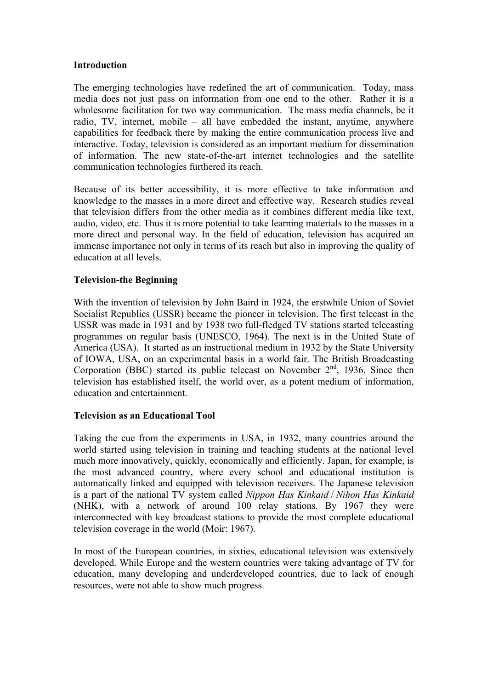### **Introduction**

The emerging technologies have redefined the art of communication. Today, mass media does not just pass on information from one end to the other. Rather it is a wholesome facilitation for two way communication. The mass media channels, be it radio, TV, internet, mobile – all have embedded the instant, anytime, anywhere capabilities for feedback there by making the entire communication process live and interactive. Today, television is considered as an important medium for dissemination of information. The new state-of-the-art internet technologies and the satellite communication technologies furthered its reach.

Because of its better accessibility, it is more effective to take information and knowledge to the masses in a more direct and effective way. Research studies reveal that television differs from the other media as it combines different media like text, audio, video, etc. Thus it is more potential to take learning materials to the masses in a more direct and personal way. In the field of education, television has acquired an immense importance not only in terms of its reach but also in improving the quality of education at all levels.

## **Television-the Beginning**

With the invention of television by John Baird in 1924, the erstwhile Union of Soviet Socialist Republics (USSR) became the pioneer in television. The first telecast in the USSR was made in 1931 and by 1938 two full-fledged TV stations started telecasting programmes on regular basis (UNESCO, 1964). The next is in the United State of America (USA). It started as an instructional medium in 1932 by the State University of IOWA, USA, on an experimental basis in a world fair. The British Broadcasting Corporation (BBC) started its public telecast on November  $2<sup>nd</sup>$ , 1936. Since then television has established itself, the world over, as a potent medium of information, education and entertainment.

# **Television as an Educational Tool**

Taking the cue from the experiments in USA, in 1932, many countries around the world started using television in training and teaching students at the national level much more innovatively, quickly, economically and efficiently. Japan, for example, is the most advanced country, where every school and educational institution is automatically linked and equipped with television receivers. The Japanese television is a part of the national TV system called *Nippon Has Kinkaid* / *Nihon Has Kinkaid* (NHK), with a network of around 100 relay stations. By 1967 they were interconnected with key broadcast stations to provide the most complete educational television coverage in the world (Moir: 1967).

In most of the European countries, in sixties, educational television was extensively developed. While Europe and the western countries were taking advantage of TV for education, many developing and underdeveloped countries, due to lack of enough resources, were not able to show much progress.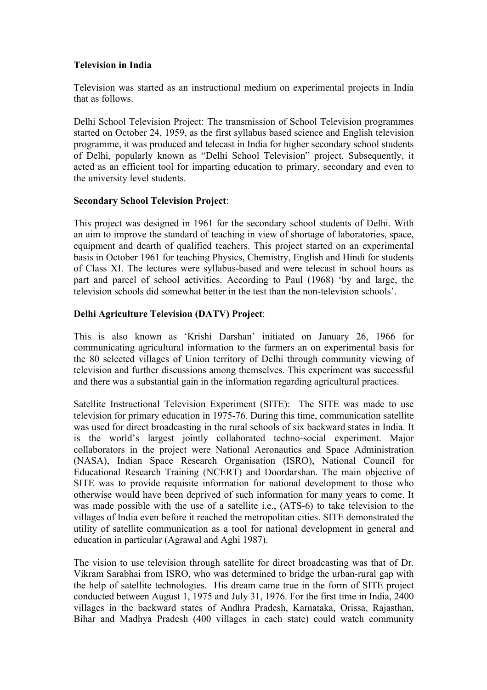## **Television in India**

Television was started as an instructional medium on experimental projects in India that as follows.

Delhi School Television Project: The transmission of School Television programmes started on October 24, 1959, as the first syllabus based science and English television programme, it was produced and telecast in India for higher secondary school students of Delhi, popularly known as "Delhi School Television" project. Subsequently, it acted as an efficient tool for imparting education to primary, secondary and even to the university level students.

## **Secondary School Television Project**:

This project was designed in 1961 for the secondary school students of Delhi. With an aim to improve the standard of teaching in view of shortage of laboratories, space, equipment and dearth of qualified teachers. This project started on an experimental basis in October 1961 for teaching Physics, Chemistry, English and Hindi for students of Class XI. The lectures were syllabus-based and were telecast in school hours as part and parcel of school activities. According to Paul (1968) 'by and large, the television schools did somewhat better in the test than the non-television schools'.

# **Delhi Agriculture Television (DATV) Project**:

This is also known as 'Krishi Darshan' initiated on January 26, 1966 for communicating agricultural information to the farmers an on experimental basis for the 80 selected villages of Union territory of Delhi through community viewing of television and further discussions among themselves. This experiment was successful and there was a substantial gain in the information regarding agricultural practices.

Satellite Instructional Television Experiment (SITE): The SITE was made to use television for primary education in 1975-76. During this time, communication satellite was used for direct broadcasting in the rural schools of six backward states in India. It is the world's largest jointly collaborated techno-social experiment. Major collaborators in the project were National Aeronautics and Space Administration (NASA), Indian Space Research Organisation (ISRO), National Council for Educational Research Training (NCERT) and Doordarshan. The main objective of SITE was to provide requisite information for national development to those who otherwise would have been deprived of such information for many years to come. It was made possible with the use of a satellite i.e., (ATS-6) to take television to the villages of India even before it reached the metropolitan cities. SITE demonstrated the utility of satellite communication as a tool for national development in general and education in particular (Agrawal and Aghi 1987).

The vision to use television through satellite for direct broadcasting was that of Dr. Vikram Sarabhai from ISRO, who was determined to bridge the urban-rural gap with the help of satellite technologies. His dream came true in the form of SITE project conducted between August 1, 1975 and July 31, 1976. For the first time in India, 2400 villages in the backward states of Andhra Pradesh, Karnataka, Orissa, Rajasthan, Bihar and Madhya Pradesh (400 villages in each state) could watch community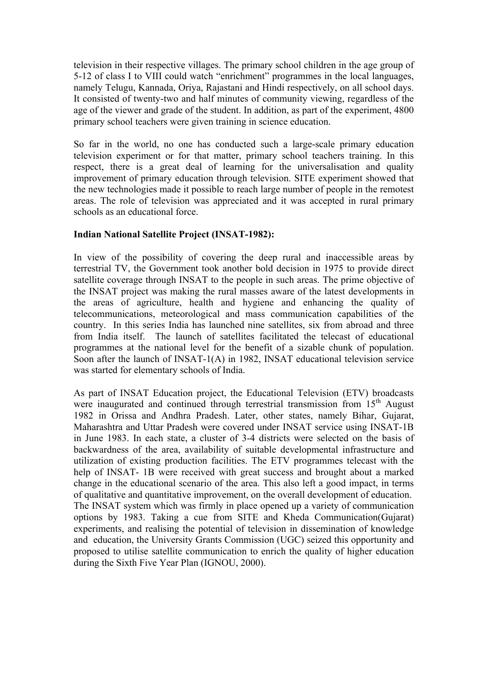television in their respective villages. The primary school children in the age group of 5-12 of class I to VIII could watch "enrichment" programmes in the local languages, namely Telugu, Kannada, Oriya, Rajastani and Hindi respectively, on all school days. It consisted of twenty-two and half minutes of community viewing, regardless of the age of the viewer and grade of the student. In addition, as part of the experiment, 4800 primary school teachers were given training in science education.

So far in the world, no one has conducted such a large-scale primary education television experiment or for that matter, primary school teachers training. In this respect, there is a great deal of learning for the universalisation and quality improvement of primary education through television. SITE experiment showed that the new technologies made it possible to reach large number of people in the remotest areas. The role of television was appreciated and it was accepted in rural primary schools as an educational force.

## **Indian National Satellite Project (INSAT-1982):**

In view of the possibility of covering the deep rural and inaccessible areas by terrestrial TV, the Government took another bold decision in 1975 to provide direct satellite coverage through INSAT to the people in such areas. The prime objective of the INSAT project was making the rural masses aware of the latest developments in the areas of agriculture, health and hygiene and enhancing the quality of telecommunications, meteorological and mass communication capabilities of the country. In this series India has launched nine satellites, six from abroad and three from India itself. The launch of satellites facilitated the telecast of educational programmes at the national level for the benefit of a sizable chunk of population. Soon after the launch of INSAT-1(A) in 1982, INSAT educational television service was started for elementary schools of India.

As part of INSAT Education project, the Educational Television (ETV) broadcasts were inaugurated and continued through terrestrial transmission from  $15<sup>th</sup>$  August 1982 in Orissa and Andhra Pradesh. Later, other states, namely Bihar, Gujarat, Maharashtra and Uttar Pradesh were covered under INSAT service using INSAT-1B in June 1983. In each state, a cluster of 3-4 districts were selected on the basis of backwardness of the area, availability of suitable developmental infrastructure and utilization of existing production facilities. The ETV programmes telecast with the help of INSAT- 1B were received with great success and brought about a marked change in the educational scenario of the area. This also left a good impact, in terms of qualitative and quantitative improvement, on the overall development of education. The INSAT system which was firmly in place opened up a variety of communication options by 1983. Taking a cue from SITE and Kheda Communication(Gujarat) experiments, and realising the potential of television in dissemination of knowledge and education, the University Grants Commission (UGC) seized this opportunity and proposed to utilise satellite communication to enrich the quality of higher education during the Sixth Five Year Plan (IGNOU, 2000).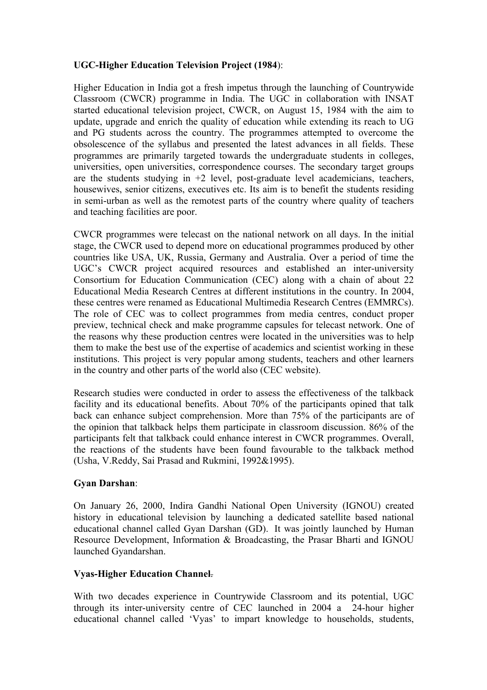# **UGC-Higher Education Television Project (1984**):

Higher Education in India got a fresh impetus through the launching of Countrywide Classroom (CWCR) programme in India. The UGC in collaboration with INSAT started educational television project, CWCR, on August 15, 1984 with the aim to update, upgrade and enrich the quality of education while extending its reach to UG and PG students across the country. The programmes attempted to overcome the obsolescence of the syllabus and presented the latest advances in all fields. These programmes are primarily targeted towards the undergraduate students in colleges, universities, open universities, correspondence courses. The secondary target groups are the students studying in  $+2$  level, post-graduate level academicians, teachers, housewives, senior citizens, executives etc. Its aim is to benefit the students residing in semi-urban as well as the remotest parts of the country where quality of teachers and teaching facilities are poor.

CWCR programmes were telecast on the national network on all days. In the initial stage, the CWCR used to depend more on educational programmes produced by other countries like USA, UK, Russia, Germany and Australia. Over a period of time the UGC's CWCR project acquired resources and established an inter-university Consortium for Education Communication (CEC) along with a chain of about 22 Educational Media Research Centres at different institutions in the country. In 2004, these centres were renamed as Educational Multimedia Research Centres (EMMRCs). The role of CEC was to collect programmes from media centres, conduct proper preview, technical check and make programme capsules for telecast network. One of the reasons why these production centres were located in the universities was to help them to make the best use of the expertise of academics and scientist working in these institutions. This project is very popular among students, teachers and other learners in the country and other parts of the world also (CEC website).

Research studies were conducted in order to assess the effectiveness of the talkback facility and its educational benefits. About 70% of the participants opined that talk back can enhance subject comprehension. More than 75% of the participants are of the opinion that talkback helps them participate in classroom discussion. 86% of the participants felt that talkback could enhance interest in CWCR programmes. Overall, the reactions of the students have been found favourable to the talkback method (Usha, V.Reddy, Sai Prasad and Rukmini, 1992&1995).

#### **Gyan Darshan**:

On January 26, 2000, Indira Gandhi National Open University (IGNOU) created history in educational television by launching a dedicated satellite based national educational channel called Gyan Darshan (GD). It was jointly launched by Human Resource Development, Information & Broadcasting, the Prasar Bharti and IGNOU launched Gyandarshan.

# **Vyas-Higher Education Channel**.

With two decades experience in Countrywide Classroom and its potential, UGC through its inter-university centre of CEC launched in 2004 a 24-hour higher educational channel called 'Vyas' to impart knowledge to households, students,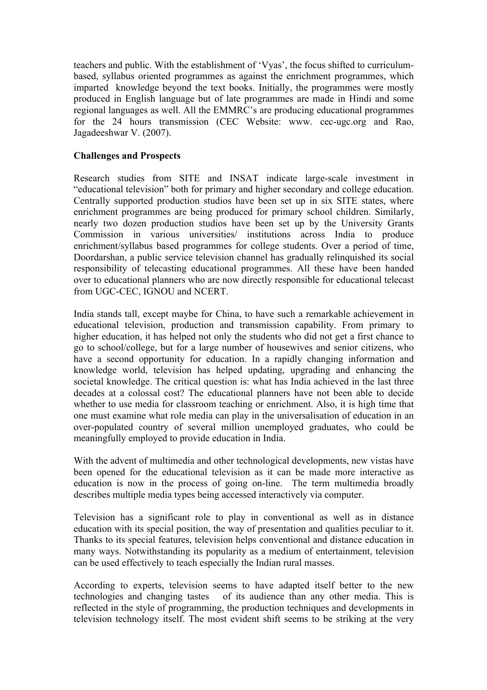teachers and public. With the establishment of 'Vyas', the focus shifted to curriculumbased, syllabus oriented programmes as against the enrichment programmes, which imparted knowledge beyond the text books. Initially, the programmes were mostly produced in English language but of late programmes are made in Hindi and some regional languages as well. All the EMMRC's are producing educational programmes for the 24 hours transmission (CEC Website: www. cec-ugc.org and Rao, Jagadeeshwar V. (2007).

## **Challenges and Prospects**

Research studies from SITE and INSAT indicate large-scale investment in "educational television" both for primary and higher secondary and college education. Centrally supported production studios have been set up in six SITE states, where enrichment programmes are being produced for primary school children. Similarly, nearly two dozen production studios have been set up by the University Grants Commission in various universities/ institutions across India to produce enrichment/syllabus based programmes for college students. Over a period of time, Doordarshan, a public service television channel has gradually relinquished its social responsibility of telecasting educational programmes. All these have been handed over to educational planners who are now directly responsible for educational telecast from UGC-CEC, IGNOU and NCERT.

India stands tall, except maybe for China, to have such a remarkable achievement in educational television, production and transmission capability. From primary to higher education, it has helped not only the students who did not get a first chance to go to school/college, but for a large number of housewives and senior citizens, who have a second opportunity for education. In a rapidly changing information and knowledge world, television has helped updating, upgrading and enhancing the societal knowledge. The critical question is: what has India achieved in the last three decades at a colossal cost? The educational planners have not been able to decide whether to use media for classroom teaching or enrichment. Also, it is high time that one must examine what role media can play in the universalisation of education in an over-populated country of several million unemployed graduates, who could be meaningfully employed to provide education in India.

With the advent of multimedia and other technological developments, new vistas have been opened for the educational television as it can be made more interactive as education is now in the process of going on-line. The term multimedia broadly describes multiple media types being accessed interactively via computer.

Television has a significant role to play in conventional as well as in distance education with its special position, the way of presentation and qualities peculiar to it. Thanks to its special features, television helps conventional and distance education in many ways. Notwithstanding its popularity as a medium of entertainment, television can be used effectively to teach especially the Indian rural masses.

According to experts, television seems to have adapted itself better to the new technologies and changing tastes of its audience than any other media. This is reflected in the style of programming, the production techniques and developments in television technology itself. The most evident shift seems to be striking at the very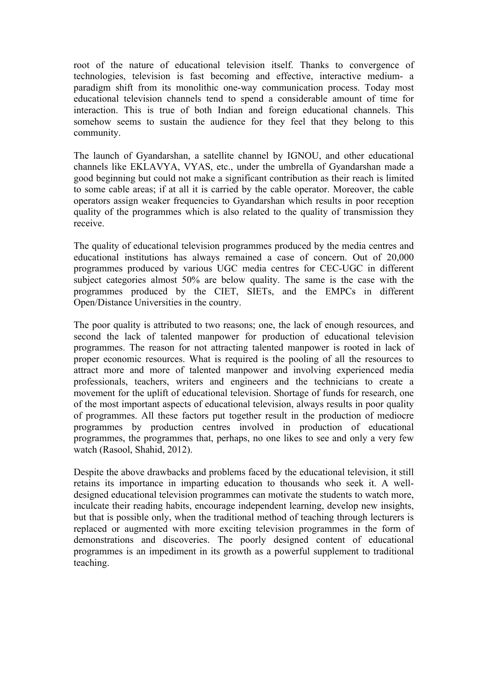root of the nature of educational television itself. Thanks to convergence of technologies, television is fast becoming and effective, interactive medium- a paradigm shift from its monolithic one-way communication process. Today most educational television channels tend to spend a considerable amount of time for interaction. This is true of both Indian and foreign educational channels. This somehow seems to sustain the audience for they feel that they belong to this community.

The launch of Gyandarshan, a satellite channel by IGNOU, and other educational channels like EKLAVYA, VYAS, etc., under the umbrella of Gyandarshan made a good beginning but could not make a significant contribution as their reach is limited to some cable areas; if at all it is carried by the cable operator. Moreover, the cable operators assign weaker frequencies to Gyandarshan which results in poor reception quality of the programmes which is also related to the quality of transmission they receive.

The quality of educational television programmes produced by the media centres and educational institutions has always remained a case of concern. Out of 20,000 programmes produced by various UGC media centres for CEC-UGC in different subject categories almost 50% are below quality. The same is the case with the programmes produced by the CIET, SIETs, and the EMPCs in different Open/Distance Universities in the country.

The poor quality is attributed to two reasons; one, the lack of enough resources, and second the lack of talented manpower for production of educational television programmes. The reason for not attracting talented manpower is rooted in lack of proper economic resources. What is required is the pooling of all the resources to attract more and more of talented manpower and involving experienced media professionals, teachers, writers and engineers and the technicians to create a movement for the uplift of educational television. Shortage of funds for research, one of the most important aspects of educational television, always results in poor quality of programmes. All these factors put together result in the production of mediocre programmes by production centres involved in production of educational programmes, the programmes that, perhaps, no one likes to see and only a very few watch (Rasool, Shahid, 2012).

Despite the above drawbacks and problems faced by the educational television, it still retains its importance in imparting education to thousands who seek it. A welldesigned educational television programmes can motivate the students to watch more, inculcate their reading habits, encourage independent learning, develop new insights, but that is possible only, when the traditional method of teaching through lecturers is replaced or augmented with more exciting television programmes in the form of demonstrations and discoveries. The poorly designed content of educational programmes is an impediment in its growth as a powerful supplement to traditional teaching.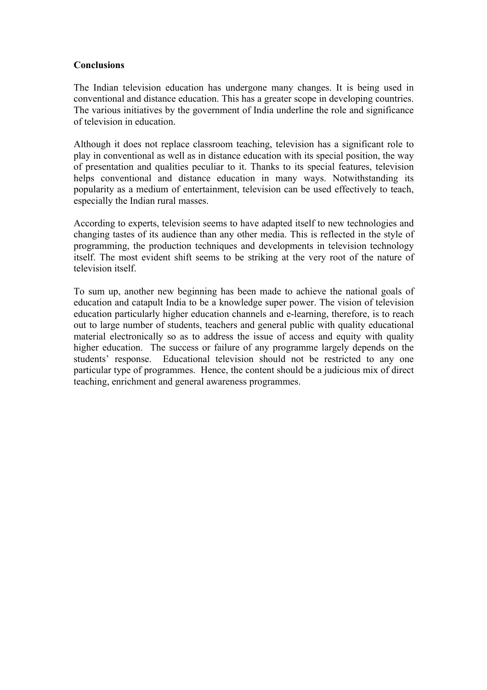### **Conclusions**

The Indian television education has undergone many changes. It is being used in conventional and distance education. This has a greater scope in developing countries. The various initiatives by the government of India underline the role and significance of television in education.

Although it does not replace classroom teaching, television has a significant role to play in conventional as well as in distance education with its special position, the way of presentation and qualities peculiar to it. Thanks to its special features, television helps conventional and distance education in many ways. Notwithstanding its popularity as a medium of entertainment, television can be used effectively to teach, especially the Indian rural masses.

According to experts, television seems to have adapted itself to new technologies and changing tastes of its audience than any other media. This is reflected in the style of programming, the production techniques and developments in television technology itself. The most evident shift seems to be striking at the very root of the nature of television itself.

To sum up, another new beginning has been made to achieve the national goals of education and catapult India to be a knowledge super power. The vision of television education particularly higher education channels and e-learning, therefore, is to reach out to large number of students, teachers and general public with quality educational material electronically so as to address the issue of access and equity with quality higher education. The success or failure of any programme largely depends on the students' response. Educational television should not be restricted to any one particular type of programmes. Hence, the content should be a judicious mix of direct teaching, enrichment and general awareness programmes.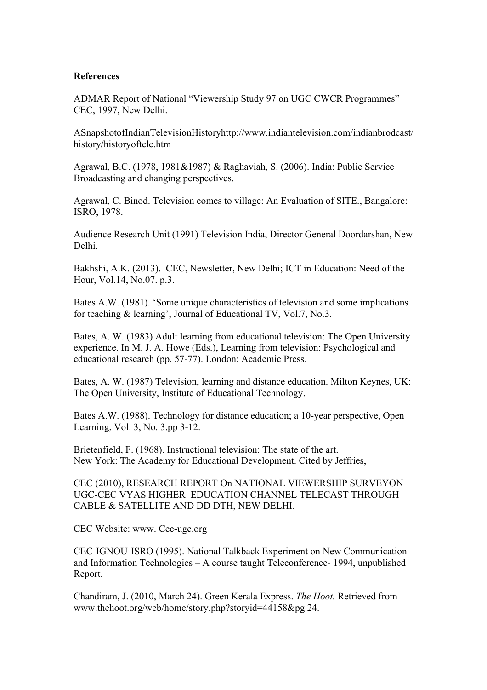#### **References**

ADMAR Report of National "Viewership Study 97 on UGC CWCR Programmes" CEC, 1997, New Delhi.

ASnapshotofIndianTelevisionHistoryhttp://www.indiantelevision.com/indianbrodcast/ history/historyoftele.htm

Agrawal, B.C. (1978, 1981&1987) & Raghaviah, S. (2006). India: Public Service Broadcasting and changing perspectives.

Agrawal, C. Binod. Television comes to village: An Evaluation of SITE., Bangalore: ISRO, 1978.

Audience Research Unit (1991) Television India, Director General Doordarshan, New Delhi.

Bakhshi, A.K. (2013). CEC, Newsletter, New Delhi; ICT in Education: Need of the Hour, Vol.14, No.07. p.3.

Bates A.W. (1981). 'Some unique characteristics of television and some implications for teaching & learning', Journal of Educational TV, Vol.7, No.3.

Bates, A. W. (1983) Adult learning from educational television: The Open University experience. In M. J. A. Howe (Eds.), Learning from television: Psychological and educational research (pp. 57-77). London: Academic Press.

Bates, A. W. (1987) Television, learning and distance education. Milton Keynes, UK: The Open University, Institute of Educational Technology.

Bates A.W. (1988). Technology for distance education; a 10-year perspective, Open Learning, Vol. 3, No. 3.pp 3-12.

Brietenfield, F. (1968). Instructional television: The state of the art. New York: The Academy for Educational Development. Cited by Jeffries,

CEC (2010), RESEARCH REPORT On NATIONAL VIEWERSHIP SURVEYON UGC-CEC VYAS HIGHER EDUCATION CHANNEL TELECAST THROUGH CABLE & SATELLITE AND DD DTH, NEW DELHI.

CEC Website: www. Cec-ugc.org

CEC-IGNOU-ISRO (1995). National Talkback Experiment on New Communication and Information Technologies – A course taught Teleconference- 1994, unpublished Report.

Chandiram, J. (2010, March 24). Green Kerala Express. *The Hoot.* Retrieved from www.thehoot.org/web/home/story.php?storyid=44158&pg 24.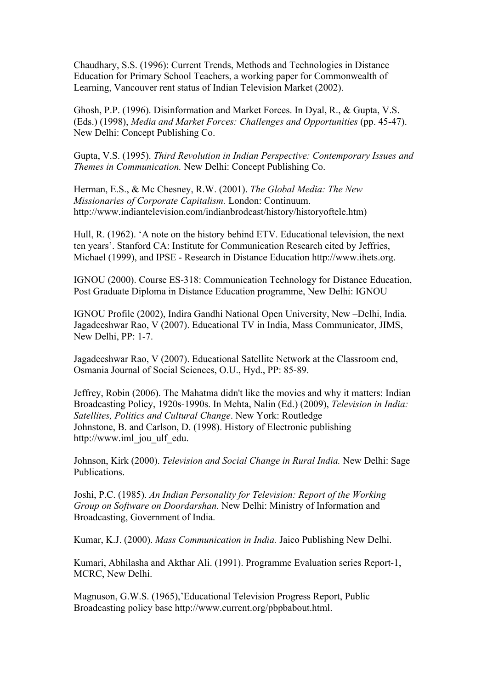Chaudhary, S.S. (1996): Current Trends, Methods and Technologies in Distance Education for Primary School Teachers, a working paper for Commonwealth of Learning, Vancouver rent status of Indian Television Market (2002).

Ghosh, P.P. (1996). Disinformation and Market Forces. In Dyal, R., & Gupta, V.S. (Eds.) (1998), *Media and Market Forces: Challenges and Opportunities* (pp. 45-47). New Delhi: Concept Publishing Co.

Gupta, V.S. (1995). *Third Revolution in Indian Perspective: Contemporary Issues and Themes in Communication.* New Delhi: Concept Publishing Co.

Herman, E.S., & Mc Chesney, R.W. (2001). *The Global Media: The New Missionaries of Corporate Capitalism.* London: Continuum. http://www.indiantelevision.com/indianbrodcast/history/historyoftele.htm)

Hull, R. (1962). 'A note on the history behind ETV. Educational television, the next ten years'. Stanford CA: Institute for Communication Research cited by Jeffries, Michael (1999), and IPSE - Research in Distance Education http://www.ihets.org.

IGNOU (2000). Course ES-318: Communication Technology for Distance Education, Post Graduate Diploma in Distance Education programme, New Delhi: IGNOU

IGNOU Profile (2002), Indira Gandhi National Open University, New –Delhi, India. Jagadeeshwar Rao, V (2007). Educational TV in India, Mass Communicator, JIMS, New Delhi, PP: 1-7.

Jagadeeshwar Rao, V (2007). Educational Satellite Network at the Classroom end, Osmania Journal of Social Sciences, O.U., Hyd., PP: 85-89.

Jeffrey, Robin (2006). The Mahatma didn't like the movies and why it matters: Indian Broadcasting Policy, 1920s-1990s. In Mehta, Nalin (Ed.) (2009), *Television in India: Satellites, Politics and Cultural Change*. New York: Routledge Johnstone, B. and Carlson, D. (1998). History of Electronic publishing http://www.iml jou ulf edu.

Johnson, Kirk (2000). *Television and Social Change in Rural India.* New Delhi: Sage Publications.

Joshi, P.C. (1985). *An Indian Personality for Television: Report of the Working Group on Software on Doordarshan.* New Delhi: Ministry of Information and Broadcasting, Government of India.

Kumar, K.J. (2000). *Mass Communication in India.* Jaico Publishing New Delhi.

Kumari, Abhilasha and Akthar Ali. (1991). Programme Evaluation series Report-1, MCRC, New Delhi.

Magnuson, G.W.S. (1965),'Educational Television Progress Report, Public Broadcasting policy base http://www.current.org/pbpbabout.html.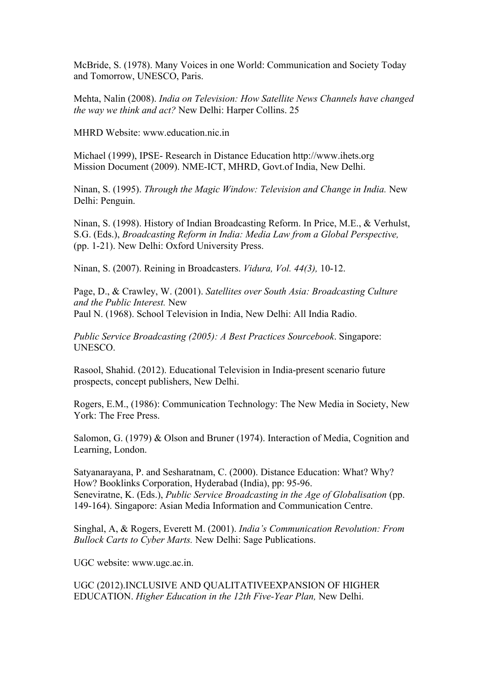McBride, S. (1978). Many Voices in one World: Communication and Society Today and Tomorrow, UNESCO, Paris.

Mehta, Nalin (2008). *India on Television: How Satellite News Channels have changed the way we think and act?* New Delhi: Harper Collins. 25

MHRD Website: www.education.nic.in

Michael (1999), IPSE- Research in Distance Education http://www.ihets.org Mission Document (2009). NME-ICT, MHRD, Govt.of India, New Delhi.

Ninan, S. (1995). *Through the Magic Window: Television and Change in India.* New Delhi: Penguin.

Ninan, S. (1998). History of Indian Broadcasting Reform. In Price, M.E., & Verhulst, S.G. (Eds.), *Broadcasting Reform in India: Media Law from a Global Perspective,*  (pp. 1-21). New Delhi: Oxford University Press.

Ninan, S. (2007). Reining in Broadcasters. *Vidura, Vol. 44(3),* 10-12.

Page, D., & Crawley, W. (2001). *Satellites over South Asia: Broadcasting Culture and the Public Interest.* New Paul N. (1968). School Television in India, New Delhi: All India Radio.

*Public Service Broadcasting (2005): A Best Practices Sourcebook*. Singapore: UNESCO.

Rasool, Shahid. (2012). Educational Television in India-present scenario future prospects, concept publishers, New Delhi.

Rogers, E.M., (1986): Communication Technology: The New Media in Society, New York: The Free Press.

Salomon, G. (1979) & Olson and Bruner (1974). Interaction of Media, Cognition and Learning, London.

Satyanarayana, P. and Sesharatnam, C. (2000). Distance Education: What? Why? How? Booklinks Corporation, Hyderabad (India), pp: 95-96. Seneviratne, K. (Eds.), *Public Service Broadcasting in the Age of Globalisation* (pp. 149-164). Singapore: Asian Media Information and Communication Centre.

Singhal, A, & Rogers, Everett M. (2001). *India's Communication Revolution: From Bullock Carts to Cyber Marts.* New Delhi: Sage Publications.

UGC website: www.ugc.ac.in.

UGC (2012).INCLUSIVE AND QUALITATIVEEXPANSION OF HIGHER EDUCATION. *Higher Education in the 12th Five-Year Plan,* New Delhi.